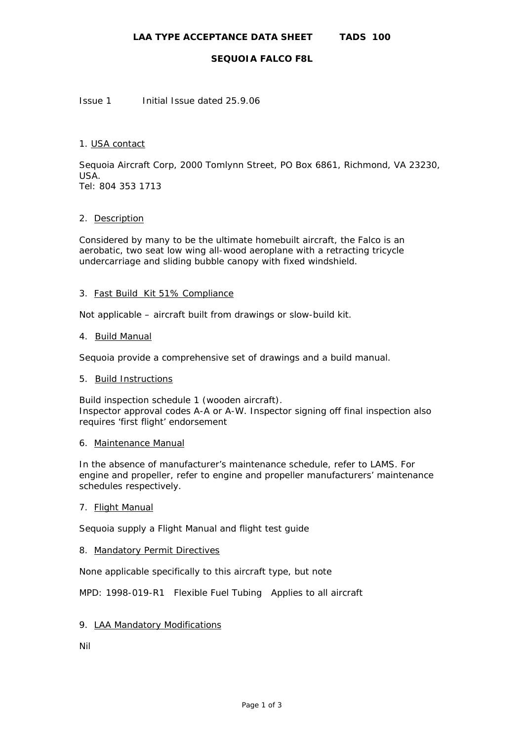## **SEQUOIA FALCO F8L**

Issue 1 Initial Issue dated 25.9.06

### 1. USA contact

Sequoia Aircraft Corp, 2000 Tomlynn Street, PO Box 6861, Richmond, VA 23230, USA. Tel: 804 353 1713

## 2. Description

Considered by many to be the ultimate homebuilt aircraft, the Falco is an aerobatic, two seat low wing all-wood aeroplane with a retracting tricycle undercarriage and sliding bubble canopy with fixed windshield.

## 3. Fast Build Kit 51% Compliance

Not applicable – aircraft built from drawings or slow-build kit.

### 4. Build Manual

Sequoia provide a comprehensive set of drawings and a build manual.

### 5. Build Instructions

Build inspection schedule 1 (wooden aircraft). Inspector approval codes A-A or A-W. Inspector signing off final inspection also requires 'first flight' endorsement

### 6. Maintenance Manual

In the absence of manufacturer's maintenance schedule, refer to LAMS. For engine and propeller, refer to engine and propeller manufacturers' maintenance schedules respectively.

### 7. Flight Manual

Sequoia supply a Flight Manual and flight test guide

### 8. Mandatory Permit Directives

None applicable specifically to this aircraft type, but note

MPD: 1998-019-R1 Flexible Fuel Tubing Applies to all aircraft

## 9. LAA Mandatory Modifications

Nil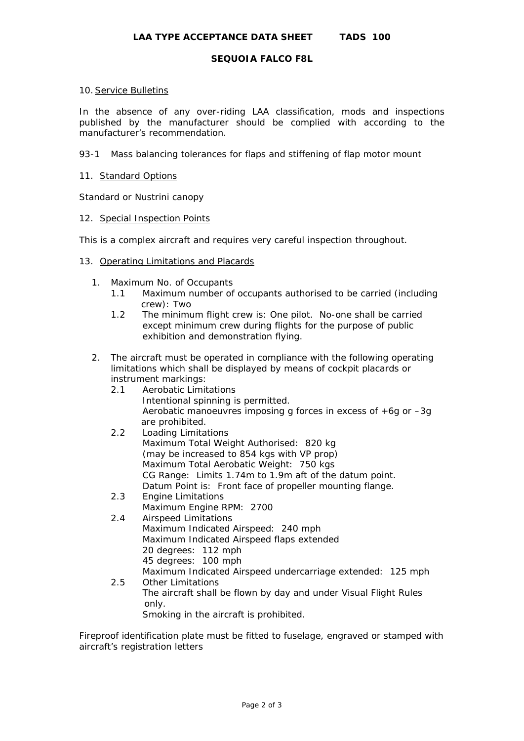### **SEQUOIA FALCO F8L**

### 10. Service Bulletins

In the absence of any over-riding LAA classification, mods and inspections published by the manufacturer should be complied with according to the manufacturer's recommendation.

- 93-1 Mass balancing tolerances for flaps and stiffening of flap motor mount
- 11. Standard Options

Standard or Nustrini canopy

### 12. Special Inspection Points

This is a complex aircraft and requires very careful inspection throughout.

## 13. Operating Limitations and Placards

- 1. Maximum No. of Occupants
	- 1.1 Maximum number of occupants authorised to be carried (including crew): Two
	- 1.2 The minimum flight crew is: One pilot. No-one shall be carried except minimum crew during flights for the purpose of public exhibition and demonstration flying.
- 2. The aircraft must be operated in compliance with the following operating limitations which shall be displayed by means of cockpit placards or instrument markings:
	- 2.1 Aerobatic Limitations Intentional spinning is permitted. Aerobatic manoeuvres imposing g forces in excess of +6g or –3g are prohibited.
	- 2.2 Loading Limitations Maximum Total Weight Authorised: 820 kg (may be increased to 854 kgs with VP prop) Maximum Total Aerobatic Weight: 750 kgs CG Range: Limits 1.74m to 1.9m aft of the datum point. Datum Point is: Front face of propeller mounting flange.
	- 2.3 Engine Limitations
	- Maximum Engine RPM: 2700 2.4 Airspeed Limitations Maximum Indicated Airspeed: 240 mph Maximum Indicated Airspeed flaps extended 20 degrees: 112 mph 45 degrees: 100 mph Maximum Indicated Airspeed undercarriage extended: 125 mph 2.5 Other Limitations The aircraft shall be flown by day and under Visual Flight Rules
		- only. Smoking in the aircraft is prohibited.

Fireproof identification plate must be fitted to fuselage, engraved or stamped with aircraft's registration letters